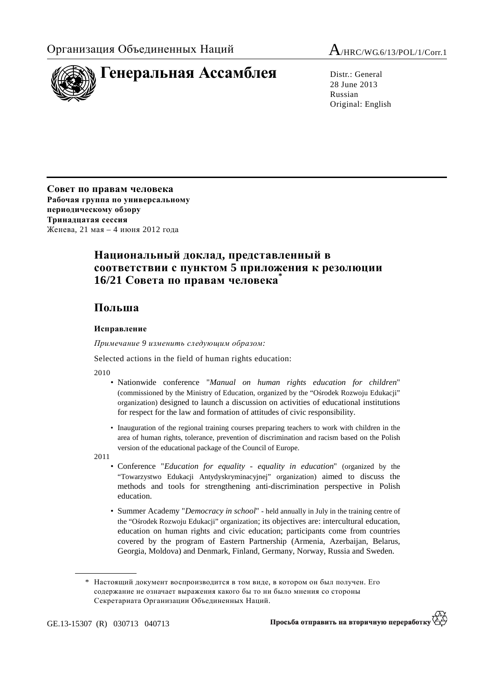

28 June 2013 Russian Original: English

**Совет по правам человека Рабочая группа по универсальному периодическому обзору Тринадцатая сессия** Женева, 21 мая – 4 июня 2012 года

## **Национальный доклад, представленный в соответствии с пунктом 5 приложения к резолюции 16/21 Совета по правам человека\***

## **Польша**

## **Исправление**

 *Примечание 9 изменить следующим образом:* 

Selected actions in the field of human rights education:

2010

- Nationwide conference "*Manual on human rights education for children*" (commissioned by the Ministry of Education, organized by the "Ośrodek Rozwoju Edukacji" organization) designed to launch a discussion on activities of educational institutions for respect for the law and formation of attitudes of civic responsibility.
- Inauguration of the regional training courses preparing teachers to work with children in the area of human rights, tolerance, prevention of discrimination and racism based on the Polish version of the educational package of the Council of Europe.

2011

- Conference "*Education for equality equality in education*" (organized by the "Towarzystwo Edukacji Antydyskryminacyjnej" organization) aimed to discuss the methods and tools for strengthening anti-discrimination perspective in Polish education.
- Summer Academy "*Democracy in school*" held annually in July in the training centre of the "Ośrodek Rozwoju Edukacji" organization; its objectives are: intercultural education, education on human rights and civic education; participants come from countries covered by the program of Eastern Partnership (Armenia, Azerbaijan, Belarus, Georgia, Moldova) and Denmark, Finland, Germany, Norway, Russia and Sweden.

 <sup>\*</sup> Настоящий документ воспроизводится в том виде, в котором он был получен. Его содержание не означает выражения какого бы то ни было мнения со стороны Секретариата Организации Объединенных Наций.